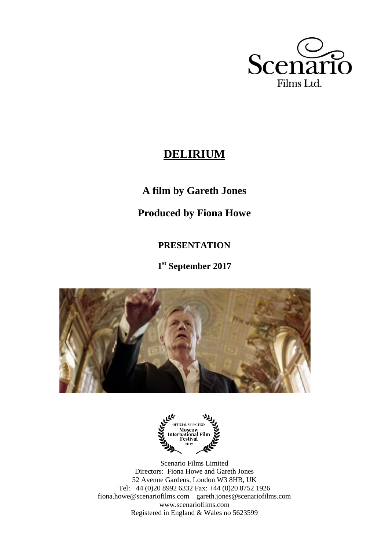

# **DELIRIUM**

# **A film by Gareth Jones**

# **Produced by Fiona Howe**

# **PRESENTATION**

**1 st September 2017**





Scenario Films Limited Directors: Fiona Howe and Gareth Jones 52 Avenue Gardens, London W3 8HB, UK Tel: +44 (0)20 8992 6332 Fax: +44 (0)20 8752 1926 fiona.howe@scenariofilms.com gareth.jones@scenariofilms.com www.scenariofilms.com Registered in England & Wales no 5623599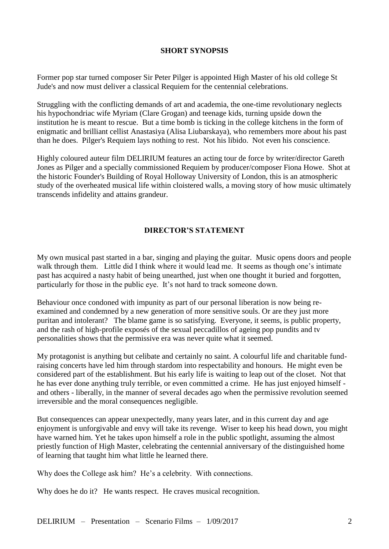#### **SHORT SYNOPSIS**

Former pop star turned composer Sir Peter Pilger is appointed High Master of his old college St Jude's and now must deliver a classical Requiem for the centennial celebrations.

Struggling with the conflicting demands of art and academia, the one-time revolutionary neglects his hypochondriac wife Myriam (Clare Grogan) and teenage kids, turning upside down the institution he is meant to rescue. But a time bomb is ticking in the college kitchens in the form of enigmatic and brilliant cellist Anastasiya (Alisa Liubarskaya), who remembers more about his past than he does. Pilger's Requiem lays nothing to rest. Not his libido. Not even his conscience.

Highly coloured auteur film DELIRIUM features an acting tour de force by writer/director Gareth Jones as Pilger and a specially commissioned Requiem by producer/composer Fiona Howe. Shot at the historic Founder's Building of Royal Holloway University of London, this is an atmospheric study of the overheated musical life within cloistered walls, a moving story of how music ultimately transcends infidelity and attains grandeur.

# **DIRECTOR'S STATEMENT**

My own musical past started in a bar, singing and playing the guitar. Music opens doors and people walk through them. Little did I think where it would lead me. It seems as though one's intimate past has acquired a nasty habit of being unearthed, just when one thought it buried and forgotten, particularly for those in the public eye. It's not hard to track someone down.

Behaviour once condoned with impunity as part of our personal liberation is now being reexamined and condemned by a new generation of more sensitive souls. Or are they just more puritan and intolerant? The blame game is so satisfying. Everyone, it seems, is public property, and the rash of high-profile exposés of the sexual peccadillos of ageing pop pundits and tv personalities shows that the permissive era was never quite what it seemed.

My protagonist is anything but celibate and certainly no saint. A colourful life and charitable fundraising concerts have led him through stardom into respectability and honours. He might even be considered part of the establishment. But his early life is waiting to leap out of the closet. Not that he has ever done anything truly terrible, or even committed a crime. He has just enjoyed himself and others - liberally, in the manner of several decades ago when the permissive revolution seemed irreversible and the moral consequences negligible.

But consequences can appear unexpectedly, many years later, and in this current day and age enjoyment is unforgivable and envy will take its revenge. Wiser to keep his head down, you might have warned him. Yet he takes upon himself a role in the public spotlight, assuming the almost priestly function of High Master, celebrating the centennial anniversary of the distinguished home of learning that taught him what little he learned there.

Why does the College ask him? He's a celebrity. With connections.

Why does he do it? He wants respect. He craves musical recognition.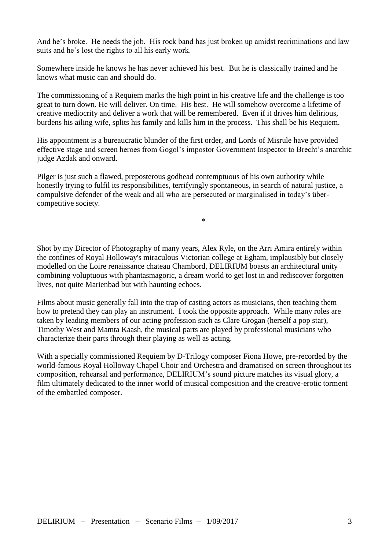And he's broke. He needs the job. His rock band has just broken up amidst recriminations and law suits and he's lost the rights to all his early work.

Somewhere inside he knows he has never achieved his best. But he is classically trained and he knows what music can and should do.

The commissioning of a Requiem marks the high point in his creative life and the challenge is too great to turn down. He will deliver. On time. His best. He will somehow overcome a lifetime of creative mediocrity and deliver a work that will be remembered. Even if it drives him delirious, burdens his ailing wife, splits his family and kills him in the process. This shall be his Requiem.

His appointment is a bureaucratic blunder of the first order, and Lords of Misrule have provided effective stage and screen heroes from Gogol's impostor Government Inspector to Brecht's anarchic judge Azdak and onward.

Pilger is just such a flawed, preposterous godhead contemptuous of his own authority while honestly trying to fulfil its responsibilities, terrifyingly spontaneous, in search of natural justice, a compulsive defender of the weak and all who are persecuted or marginalised in today's übercompetitive society.

 $*$ 

Shot by my Director of Photography of many years, Alex Ryle, on the Arri Amira entirely within the confines of Royal Holloway's miraculous Victorian college at Egham, implausibly but closely modelled on the Loire renaissance chateau Chambord, DELIRIUM boasts an architectural unity combining voluptuous with phantasmagoric, a dream world to get lost in and rediscover forgotten lives, not quite Marienbad but with haunting echoes.

Films about music generally fall into the trap of casting actors as musicians, then teaching them how to pretend they can play an instrument. I took the opposite approach. While many roles are taken by leading members of our acting profession such as Clare Grogan (herself a pop star), Timothy West and Mamta Kaash, the musical parts are played by professional musicians who characterize their parts through their playing as well as acting.

With a specially commissioned Requiem by D-Trilogy composer Fiona Howe, pre-recorded by the world-famous Royal Holloway Chapel Choir and Orchestra and dramatised on screen throughout its composition, rehearsal and performance, DELIRIUM's sound picture matches its visual glory, a film ultimately dedicated to the inner world of musical composition and the creative-erotic torment of the embattled composer.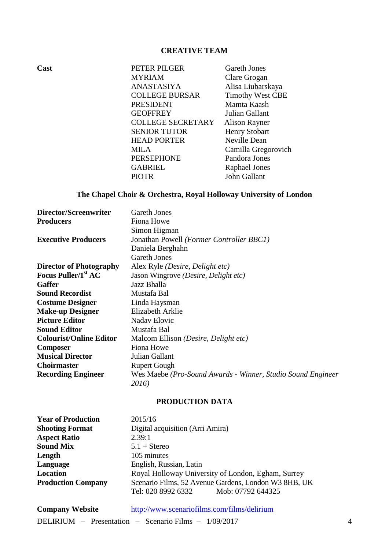# **CREATIVE TEAM**

**Cast PETER PILGER** Gareth Jones MYRIAM Clare Grogan ANASTASIYA Alisa Liubarskaya COLLEGE BURSAR Timothy West CBE **PRESIDENT Mamta Kaash**<br>**GEOFFREY** Julian Gallant Julian Gallant COLLEGE SECRETARY Alison Rayner SENIOR TUTOR<br>
HEAD PORTER
Neville Dean **HEAD PORTER** MILA Camilla Gregorovich PERSEPHONE Pandora Jones GABRIEL Raphael Jones PIOTR John Gallant

#### **The Chapel Choir & Orchestra, Royal Holloway University of London**

| Director/Screenwriter           | <b>Gareth Jones</b>                                         |
|---------------------------------|-------------------------------------------------------------|
| <b>Producers</b>                | Fiona Howe                                                  |
|                                 | Simon Higman                                                |
| <b>Executive Producers</b>      | Jonathan Powell (Former Controller BBC1)                    |
|                                 | Daniela Berghahn                                            |
|                                 | <b>Gareth Jones</b>                                         |
| <b>Director of Photography</b>  | Alex Ryle (Desire, Delight etc)                             |
| Focus Puller/1 <sup>st</sup> AC | Jason Wingrove (Desire, Delight etc)                        |
| <b>Gaffer</b>                   | Jazz Bhalla                                                 |
| <b>Sound Recordist</b>          | Mustafa Bal                                                 |
| <b>Costume Designer</b>         | Linda Haysman                                               |
| <b>Make-up Designer</b>         | Elizabeth Arklie                                            |
| <b>Picture Editor</b>           | <b>Nadav Elovic</b>                                         |
| <b>Sound Editor</b>             | Mustafa Bal                                                 |
| <b>Colourist/Online Editor</b>  | Malcom Ellison (Desire, Delight etc)                        |
| <b>Composer</b>                 | Fiona Howe                                                  |
| <b>Musical Director</b>         | Julian Gallant                                              |
| <b>Choirmaster</b>              | <b>Rupert Gough</b>                                         |
| <b>Recording Engineer</b>       | Wes Maebe (Pro-Sound Awards - Winner, Studio Sound Engineer |
|                                 | 2016)                                                       |

#### **PRODUCTION DATA**

| <b>Year of Production</b> | 2015/16                                              |
|---------------------------|------------------------------------------------------|
| <b>Shooting Format</b>    | Digital acquisition (Arri Amira)                     |
| <b>Aspect Ratio</b>       | 2.39:1                                               |
| <b>Sound Mix</b>          | $5.1 +$ Stereo                                       |
| Length                    | 105 minutes                                          |
| Language                  | English, Russian, Latin                              |
| Location                  | Royal Holloway University of London, Egham, Surrey   |
| <b>Production Company</b> | Scenario Films, 52 Avenue Gardens, London W3 8HB, UK |
|                           | Tel: 020 8992 6332<br>Mob: 07792 644325              |

| <b>Company Website</b> | http://www.scenariofilms.com/films/delirium            |  |
|------------------------|--------------------------------------------------------|--|
|                        | DELIRIUM – Presentation – Scenario Films – $1/09/2017$ |  |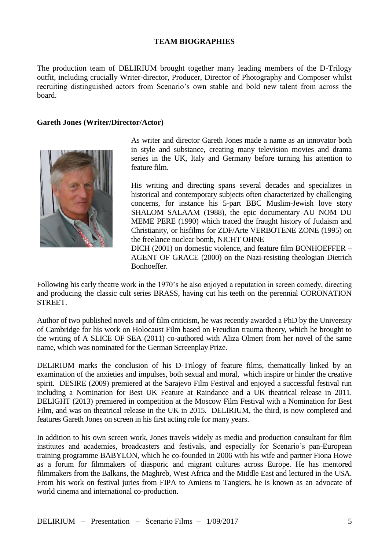#### **TEAM BIOGRAPHIES**

The production team of DELIRIUM brought together many leading members of the D-Trilogy outfit, including crucially Writer-director, Producer, Director of Photography and Composer whilst recruiting distinguished actors from Scenario's own stable and bold new talent from across the board.

#### **Gareth Jones (Writer/Director/Actor)**



As writer and director Gareth Jones made a name as an innovator both in style and substance, creating many television movies and drama series in the UK, Italy and Germany before turning his attention to feature film.

His writing and directing spans several decades and specializes in historical and contemporary subjects often characterized by challenging concerns, for instance his 5-part BBC Muslim-Jewish love story SHALOM SALAAM (1988), the epic documentary AU NOM DU MEME PERE (1990) which traced the fraught history of Judaism and Christianity, or hisfilms for ZDF/Arte VERBOTENE ZONE (1995) on the freelance nuclear bomb, NICHT OHNE

DICH (2001) on domestic violence, and feature film BONHOEFFER – AGENT OF GRACE (2000) on the Nazi-resisting theologian Dietrich Bonhoeffer.

Following his early theatre work in the 1970's he also enjoyed a reputation in screen comedy, directing and producing the classic cult series BRASS, having cut his teeth on the perennial CORONATION STREET.

Author of two published novels and of film criticism, he was recently awarded a PhD by the University of Cambridge for his work on Holocaust Film based on Freudian trauma theory, which he brought to the writing of A SLICE OF SEA (2011) co-authored with Aliza Olmert from her novel of the same name, which was nominated for the German Screenplay Prize.

DELIRIUM marks the conclusion of his D-Trilogy of feature films, thematically linked by an examination of the anxieties and impulses, both sexual and moral, which inspire or hinder the creative spirit. DESIRE (2009) premiered at the Sarajevo Film Festival and enjoyed a successful festival run including a Nomination for Best UK Feature at Raindance and a UK theatrical release in 2011. DELIGHT (2013) premiered in competition at the Moscow Film Festival with a Nomination for Best Film, and was on theatrical release in the UK in 2015. DELIRIUM, the third, is now completed and features Gareth Jones on screen in his first acting role for many years.

In addition to his own screen work, Jones travels widely as media and production consultant for film institutes and academies, broadcasters and festivals, and especially for Scenario's pan-European training programme BABYLON, which he co-founded in 2006 with his wife and partner Fiona Howe as a forum for filmmakers of diasporic and migrant cultures across Europe. He has mentored filmmakers from the Balkans, the Maghreb, West Africa and the Middle East and lectured in the USA. From his work on festival juries from FIPA to Amiens to Tangiers, he is known as an advocate of world cinema and international co-production.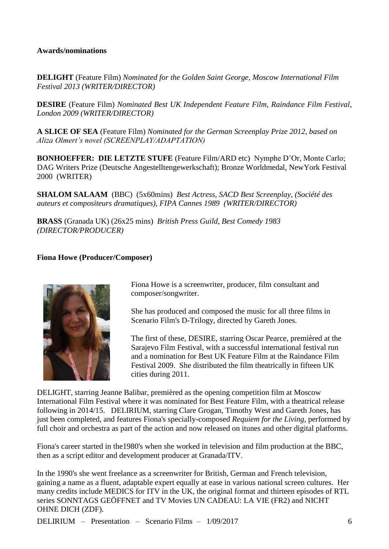#### **Awards/nominations**

**DELIGHT** (Feature Film) *Nominated for the Golden Saint George, Moscow International Film Festival 2013 (WRITER/DIRECTOR)*

**DESIRE** (Feature Film) *Nominated Best UK Independent Feature Film, Raindance Film Festival, London 2009 (WRITER/DIRECTOR)*

**A SLICE OF SEA** (Feature Film) *Nominated for the German Screenplay Prize 2012, based on Aliza Olmert's novel (SCREENPLAY/ADAPTATION)*

**BONHOEFFER: DIE LETZTE STUFE** (Feature Film/ARD etc) Nymphe D'Or, Monte Carlo; DAG Writers Prize (Deutsche Angestelltengewerkschaft); Bronze Worldmedal, NewYork Festival 2000 (WRITER)

**SHALOM SALAAM** (BBC) (5x60mins) *Best Actress, SACD Best Screenplay, (Société des auteurs et compositeurs dramatiques), FIPA Cannes 1989 (WRITER/DIRECTOR)*

**BRASS** (Granada UK) (26x25 mins) *British Press Guild, Best Comedy 1983 (DIRECTOR/PRODUCER)*

#### **Fiona Howe (Producer/Composer)**



Fiona Howe is a screenwriter, producer, film consultant and composer/songwriter.

She has produced and composed the music for all three films in Scenario Film's D-Trilogy, directed by Gareth Jones.

The first of these, DESIRE, starring Oscar Pearce, premièred at the Sarajevo Film Festival, with a successful international festival run and a nomination for Best UK Feature Film at the Raindance Film Festival 2009. She distributed the film theatrically in fifteen UK cities during 2011.

DELIGHT, starring Jeanne Balibar, premièred as the opening competition film at Moscow International Film Festival where it was nominated for Best Feature Film, with a theatrical release following in 2014/15. DELIRIUM, starring Clare Grogan, Timothy West and Gareth Jones, has just been completed, and features Fiona's specially-composed *Requiem for the Living*, performed by full choir and orchestra as part of the action and now released on itunes and other digital platforms.

Fiona's career started in the1980's when she worked in television and film production at the BBC, then as a script editor and development producer at Granada/ITV.

In the 1990's she went freelance as a screenwriter for British, German and French television, gaining a name as a fluent, adaptable expert equally at ease in various national screen cultures. Her many credits include MEDICS for ITV in the UK, the original format and thirteen episodes of RTL series SONNTAGS GEÖFFNET and TV Movies UN CADEAU: LA VIE (FR2) and NICHT OHNE DICH (ZDF).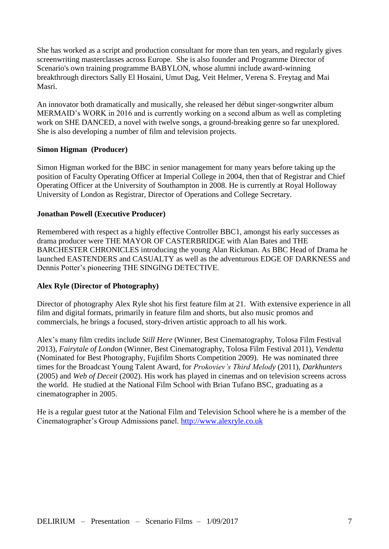She has worked as a script and production consultant for more than ten years, and regularly gives screenwriting masterclasses across Europe. She is also founder and Programme Director of Scenario's own training programme BABYLON, whose alumni include award-winning breakthrough directors Sally El Hosaini, Umut Dag, Veit Helmer, Verena S. Freytag and Mai Masri.

An innovator both dramatically and musically, she released her début singer-songwriter album MERMAID's WORK in 2016 and is currently working on a second album as well as completing work on SHE DANCED, a novel with twelve songs, a ground-breaking genre so far unexplored. She is also developing a number of film and television projects.

#### **Simon Higman (Producer)**

Simon Higman worked for the BBC in senior management for many years before taking up the position of Faculty Operating Officer at Imperial College in 2004, then that of Registrar and Chief Operating Officer at the University of Southampton in 2008. He is currently at Royal Holloway University of London as Registrar, Director of Operations and College Secretary.

#### **Jonathan Powell (Executive Producer)**

Remembered with respect as a highly effective Controller BBC1, amongst his early successes as drama producer were THE MAYOR OF CASTERBRIDGE with Alan Bates and THE BARCHESTER CHRONICLES introducing the young Alan Rickman. As BBC Head of Drama he launched EASTENDERS and CASUALTY as well as the adventurous EDGE OF DARKNESS and Dennis Potter's pioneering THE SINGING DETECTIVE.

#### **Alex Ryle (Director of Photography)**

Director of photography Alex Ryle shot his first feature film at 21. With extensive experience in all film and digital formats, primarily in feature film and shorts, but also music promos and commercials, he brings a focused, story-driven artistic approach to all his work.

Alex's many film credits include *Still Here* (Winner, Best Cinematography, Tolosa Film Festival 2013), *Fairytale of London* (Winner, Best Cinematography, Tolosa Film Festival 2011), *Vendetta*  (Nominated for Best Photography, Fujifilm Shorts Competition 2009). He was nominated three times for the Broadcast Young Talent Award, for *Prokoviev's Third Melody* (2011), *Darkhunters* (2005) and *Web of Deceit* (2002). His work has played in cinemas and on television screens across the world. He studied at the National Film School with Brian Tufano BSC, graduating as a cinematographer in 2005.

He is a regular guest tutor at the National Film and Television School where he is a member of the Cinematographer's Group Admissions panel. [http://www.alexryle.co.uk](http://www.alexryle.co.uk/)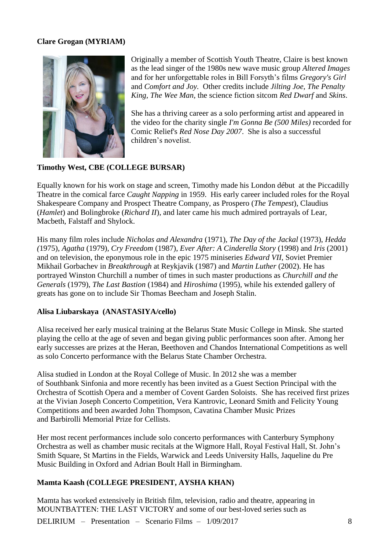# **Clare Grogan (MYRIAM)**



Originally a member of Scottish Youth Theatre, Claire is best known as the lead singer of the 1980s new wave music group *Altered Images* and for her unforgettable roles in Bill Forsyth's films *Gregory's Girl* and *Comfort and Joy.* Other credits include *Jilting Joe, The Penalty King, The Wee Man,* the science fiction sitcom *Red Dwarf* and *Skins*.

She has a thriving career as a solo performing artist and appeared in the video for the charity single *I'm Gonna Be (500 Miles)* recorded for Comic Relief's *Red Nose Day 2007*. She is also a successful children's novelist.

#### **Timothy West, CBE (COLLEGE BURSAR)**

Equally known for his work on stage and screen, Timothy made his London début at the Piccadilly Theatre in the comical farce *Caught Napping* in 1959. His early career included roles for the Royal Shakespeare Company and Prospect Theatre Company, as Prospero (*The Tempest*), Claudius (*Hamlet*) and Bolingbroke (*Richard II*), and later came his much admired portrayals of Lear, Macbeth, Falstaff and Shylock.

His many film roles include *Nicholas and Alexandra* (1971), *The Day of the Jackal* (1973), *Hedda (*1975), *Agatha* (1979), *Cry Freedom* (1987), *Ever After: A Cinderella Story* (1998) and *Iris* (2001) and on television, the eponymous role in the epic 1975 miniseries *Edward VII*, Soviet Premier Mikhail Gorbachev in *Breakthrough* at Reykjavik (1987) and *Martin Luther* (2002). He has portrayed Winston Churchill a number of times in such master productions as *Churchill and the Generals* (1979), *The Last Bastion* (1984) and *Hiroshima* (1995), while his extended gallery of greats has gone on to include Sir Thomas Beecham and Joseph Stalin.

#### **Alisa Liubarskaya (ANASTASIYA/cello)**

Alisa received her early musical training at the Belarus State Music College in Minsk. She started playing the cello at the age of seven and began giving public performances soon after. Among her early successes are prizes at the Heran, Beethoven and Chandos International Competitions as well as solo Concerto performance with the Belarus State Chamber Orchestra.

Alisa studied in London at the Royal College of Music. In 2012 she was a member of Southbank Sinfonia and more recently has been invited as a Guest Section Principal with the Orchestra of Scottish Opera and a member of Covent Garden Soloists. She has received first prizes at the Vivian Joseph Concerto Competition, Vera Kantrovic, Leonard Smith and Felicity Young Competitions and been awarded John Thompson, Cavatina Chamber Music Prizes and Barbirolli Memorial Prize for Cellists.

Her most recent performances include solo concerto performances with Canterbury Symphony Orchestra as well as chamber music recitals at the Wigmore Hall, Royal Festival Hall, St. John's Smith Square, St Martins in the Fields, Warwick and Leeds University Halls, Jaqueline du Pre Music Building in Oxford and Adrian Boult Hall in Birmingham.

#### **Mamta Kaash (COLLEGE PRESIDENT, AYSHA KHAN)**

Mamta has worked extensively in British film, television, radio and theatre, appearing in MOUNTBATTEN: THE LAST VICTORY and some of our best-loved series such as

DELIRIUM – Presentation – Scenario Films – 1/09/2017 8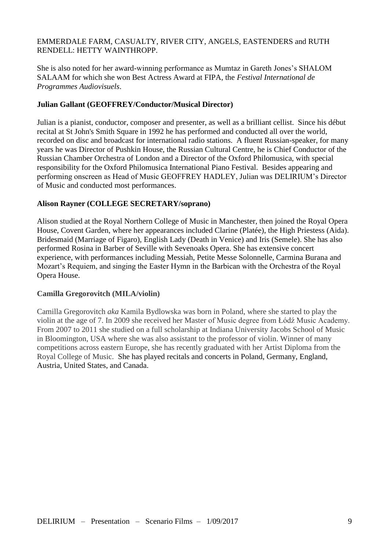## EMMERDALE FARM, CASUALTY, RIVER CITY, ANGELS, EASTENDERS and RUTH RENDELL: HETTY WAINTHROPP.

She is also noted for her award-winning performance as Mumtaz in Gareth Jones's SHALOM SALAAM for which she won Best Actress Award at FIPA, the *Festival International de Programmes Audiovisuels*.

## **Julian Gallant (GEOFFREY/Conductor/Musical Director)**

Julian is a pianist, conductor, composer and presenter, as well as a brilliant cellist. Since his début recital at St John's Smith Square in 1992 he has performed and conducted all over the world, recorded on disc and broadcast for international radio stations. A fluent Russian-speaker, for many years he was Director of Pushkin House, the Russian Cultural Centre, he is Chief Conductor of the Russian Chamber Orchestra of London and a Director of the Oxford Philomusica, with special responsibility for the Oxford Philomusica International Piano Festival. Besides appearing and performing onscreen as Head of Music GEOFFREY HADLEY, Julian was DELIRIUM's Director of Music and conducted most performances.

#### **Alison Rayner (COLLEGE SECRETARY/soprano)**

Alison studied at the Royal Northern College of Music in Manchester, then joined the Royal Opera House, Covent Garden, where her appearances included Clarine (Platée), the High Priestess (Aida). Bridesmaid (Marriage of Figaro), English Lady (Death in Venice) and Iris (Semele). She has also performed Rosina in Barber of Seville with Sevenoaks Opera. She has extensive concert experience, with performances including Messiah, Petite Messe Solonnelle, Carmina Burana and Mozart's Requiem, and singing the Easter Hymn in the Barbican with the Orchestra of the Royal Opera House.

#### **Camilla Gregorovitch (MILA/violin)**

Camilla Gregorovitch *aka* Kamila Bydlowska was born in Poland, where she started to play the violin at the age of 7. In 2009 she received her Master of Music degree from Łódź Music Academy. From 2007 to 2011 she studied on a full scholarship at Indiana University Jacobs School of Music in Bloomington, USA where she was also assistant to the professor of violin. Winner of many competitions across eastern Europe, she has recently graduated with her Artist Diploma from the Royal College of Music. She has played recitals and concerts in Poland, Germany, England, Austria, United States, and Canada.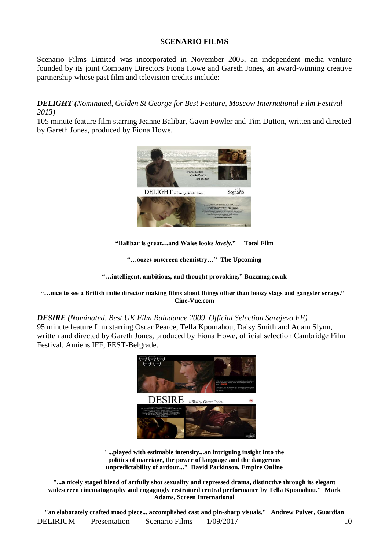#### **SCENARIO FILMS**

Scenario Films Limited was incorporated in November 2005, an independent media venture founded by its joint Company Directors Fiona Howe and Gareth Jones, an award-winning creative partnership whose past film and television credits include:

# *DELIGHT (Nominated, Golden St George for Best Feature, Moscow International Film Festival 2013)*

105 minute feature film starring Jeanne Balibar, Gavin Fowler and Tim Dutton, written and directed by Gareth Jones, produced by Fiona Howe.



**"Balibar is great…and Wales looks** *lovely.***" Total Film**

**"…oozes onscreen chemistry…" The Upcoming**

**"…intelligent, ambitious, and thought provoking." Buzzmag.co.uk**

**"…nice to see a British indie director making films about things other than boozy stags and gangster scrags." Cine-Vue.com**

#### *DESIRE (Nominated, Best UK Film Raindance 2009, Official Selection Sarajevo FF)* 95 minute feature film starring Oscar Pearce, Tella Kpomahou, Daisy Smith and Adam Slynn, written and directed by Gareth Jones, produced by Fiona Howe, official selection Cambridge Film Festival, Amiens IFF, FEST-Belgrade.



**"...played with estimable intensity...an intriguing insight into the politics of marriage, the power of language and the dangerous unpredictability of ardour..." David Parkinson, Empire Online**

**"...a nicely staged blend of artfully shot sexuality and repressed drama, distinctive through its elegant widescreen cinematography and engagingly restrained central performance by Tella Kpomahou." Mark Adams, Screen International**

DELIRIUM – Presentation – Scenario Films – 1/09/2017 10 **"an elaborately crafted mood piece... accomplished cast and pin-sharp visuals." Andrew Pulver, Guardian**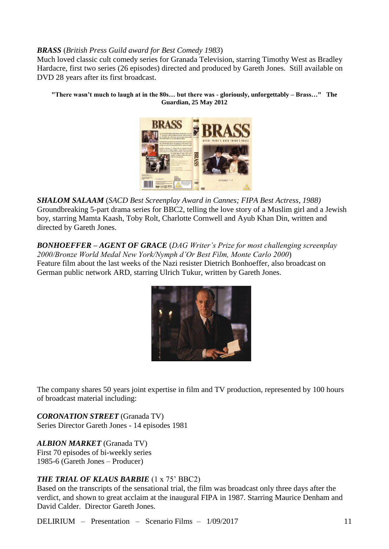## *BRASS* (*British Press Guild award for Best Comedy 1983*)

Much loved classic cult comedy series for Granada Television, starring Timothy West as Bradley Hardacre, first two series (26 episodes) directed and produced by Gareth Jones. Still available on DVD 28 years after its first broadcast.

**"There wasn't much to laugh at in the 80s… but there was - gloriously, unforgettably – Brass…" The Guardian, 25 May 2012**



*SHALOM SALAAM* (*SACD Best Screenplay Award in Cannes; FIPA Best Actress, 1988)* Groundbreaking 5-part drama series for BBC2, telling the love story of a Muslim girl and a Jewish boy, starring Mamta Kaash, Toby Rolt, Charlotte Cornwell and Ayub Khan Din, written and directed by Gareth Jones.

*BONHOEFFER – AGENT OF GRACE* (*DAG Writer's Prize for most challenging screenplay 2000/Bronze World Medal New York/Nymph d'Or Best Film, Monte Carlo 2000*) Feature film about the last weeks of the Nazi resister Dietrich Bonhoeffer, also broadcast on German public network ARD, starring Ulrich Tukur, written by Gareth Jones.



The company shares 50 years joint expertise in film and TV production, represented by 100 hours of broadcast material including:

*CORONATION STREET* (Granada TV) Series Director Gareth Jones - 14 episodes 1981

*ALBION MARKET* (Granada TV) First 70 episodes of bi-weekly series 1985-6 (Gareth Jones – Producer)

# *THE TRIAL OF KLAUS BARBIE* (1 x 75' BBC2)

Based on the transcripts of the sensational trial, the film was broadcast only three days after the verdict, and shown to great acclaim at the inaugural FIPA in 1987. Starring Maurice Denham and David Calder. Director Gareth Jones.

DELIRIUM – Presentation – Scenario Films – 1/09/2017 11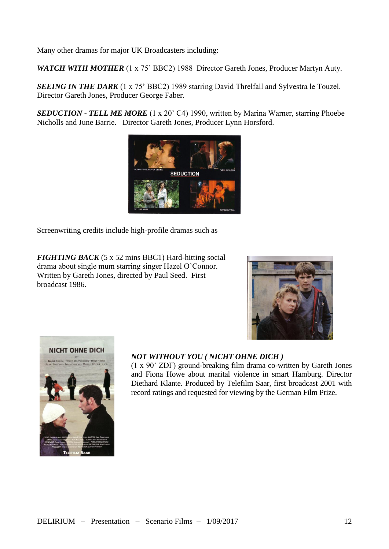Many other dramas for major UK Broadcasters including:

*WATCH WITH MOTHER* (1 x 75' BBC2) 1988 Director Gareth Jones, Producer Martyn Auty.

*SEEING IN THE DARK* (1 x 75' BBC2) 1989 starring David Threlfall and Sylvestra le Touzel. Director Gareth Jones, Producer George Faber.

*SEDUCTION - TELL ME MORE* (1 x 20' C4) 1990, written by Marina Warner, starring Phoebe Nicholls and June Barrie. Director Gareth Jones, Producer Lynn Horsford.



Screenwriting credits include high-profile dramas such as

*FIGHTING BACK* (5 x 52 mins BBC1) Hard-hitting social drama about single mum starring singer Hazel O'Connor. Written by Gareth Jones, directed by Paul Seed. First broadcast 1986.





# *NOT WITHOUT YOU ( NICHT OHNE DICH )*

(1 x 90' ZDF) ground-breaking film drama co-written by Gareth Jones and Fiona Howe about marital violence in smart Hamburg. Director Diethard Klante. Produced by Telefilm Saar, first broadcast 2001 with record ratings and requested for viewing by the German Film Prize.